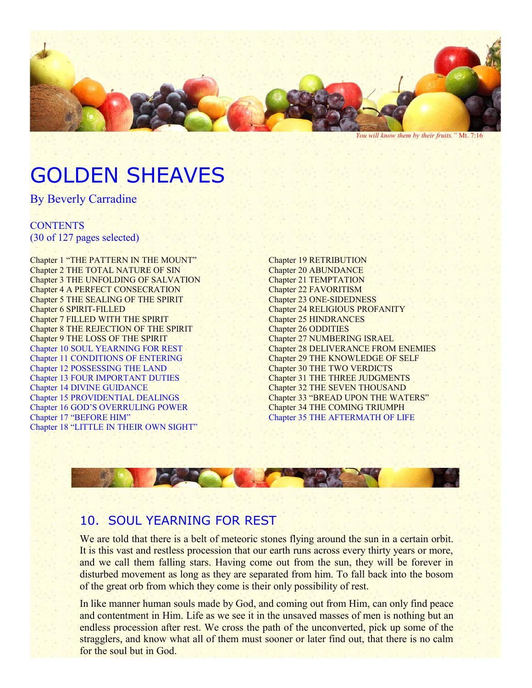

*You will know them by their fruits."* Mt. 7:16

# GOLDEN SHEAVES

By Beverly Carradine

#### **CONTENTS** (30 of 127 pages selected)

Chapter 1 "THE PATTERN IN THE MOUNT" Chapter 2 THE TOTAL NATURE OF SIN Chapter 3 THE UNFOLDING OF SALVATION Chapter 4 A PERFECT CONSECRATION Chapter 5 THE SEALING OF THE SPIRIT Chapter 6 SPIRIT-FILLED Chapter 7 FILLED WITH THE SPIRIT Chapter 8 THE REJECTION OF THE SPIRIT Chapter 9 THE LOSS OF THE SPIRIT Chapter 10 SOUL YEARNING FOR REST Chapter 11 CONDITIONS OF ENTERING Chapter 12 POSSESSING THE LAND Chapter 13 FOUR IMPORTANT DUTIES Chapter 14 DIVINE GUIDANCE Chapter 15 PROVIDENTIAL DEALINGS Chapter 16 GOD'S OVERRULING POWER Chapter 17 "BEFORE HIM" Chapter 18 "LITTLE IN THEIR OWN SIGHT"

Chapter 19 RETRIBUTION Chapter 20 ABUNDANCE Chapter 21 TEMPTATION Chapter 22 FAVORITISM Chapter 23 ONE-SIDEDNESS Chapter 24 RELIGIOUS PROFANITY Chapter 25 HINDRANCES Chapter 26 ODDITIES Chapter 27 NUMBERING ISRAEL Chapter 28 DELIVERANCE FROM ENEMIES Chapter 29 THE KNOWLEDGE OF SELF Chapter 30 THE TWO VERDICTS Chapter 31 THE THREE JUDGMENTS Chapter 32 THE SEVEN THOUSAND Chapter 33 "BREAD UPON THE WATERS" Chapter 34 THE COMING TRIUMPH Chapter 35 THE AFTERMATH OF LIFE



# 10. SOUL YEARNING FOR REST

We are told that there is a belt of meteoric stones flying around the sun in a certain orbit. It is this vast and restless procession that our earth runs across every thirty years or more, and we call them falling stars. Having come out from the sun, they will be forever in disturbed movement as long as they are separated from him. To fall back into the bosom of the great orb from which they come is their only possibility of rest.

In like manner human souls made by God, and coming out from Him, can only find peace and contentment in Him. Life as we see it in the unsaved masses of men is nothing but an endless procession after rest. We cross the path of the unconverted, pick up some of the stragglers, and know what all of them must sooner or later find out, that there is no calm for the soul but in God.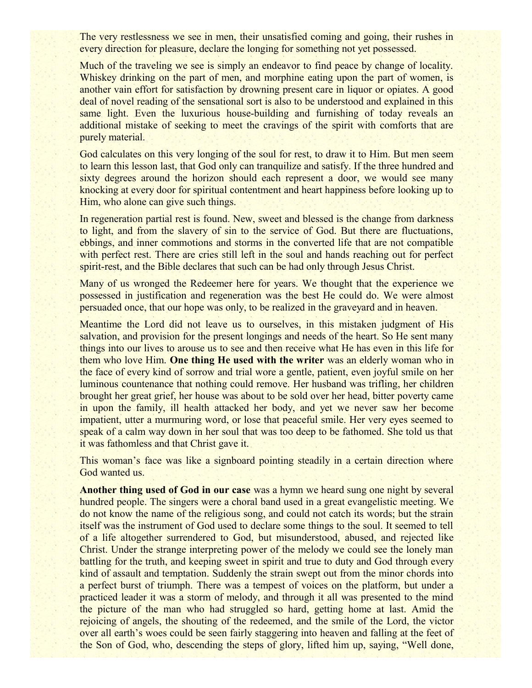The very restlessness we see in men, their unsatisfied coming and going, their rushes in every direction for pleasure, declare the longing for something not yet possessed.

Much of the traveling we see is simply an endeavor to find peace by change of locality. Whiskey drinking on the part of men, and morphine eating upon the part of women, is another vain effort for satisfaction by drowning present care in liquor or opiates. A good deal of novel reading of the sensational sort is also to be understood and explained in this same light. Even the luxurious house-building and furnishing of today reveals an additional mistake of seeking to meet the cravings of the spirit with comforts that are purely material.

God calculates on this very longing of the soul for rest, to draw it to Him. But men seem to learn this lesson last, that God only can tranquilize and satisfy. If the three hundred and sixty degrees around the horizon should each represent a door, we would see many knocking at every door for spiritual contentment and heart happiness before looking up to Him, who alone can give such things.

In regeneration partial rest is found. New, sweet and blessed is the change from darkness to light, and from the slavery of sin to the service of God. But there are fluctuations, ebbings, and inner commotions and storms in the converted life that are not compatible with perfect rest. There are cries still left in the soul and hands reaching out for perfect spirit-rest, and the Bible declares that such can be had only through Jesus Christ.

Many of us wronged the Redeemer here for years. We thought that the experience we possessed in justification and regeneration was the best He could do. We were almost persuaded once, that our hope was only, to be realized in the graveyard and in heaven.

Meantime the Lord did not leave us to ourselves, in this mistaken judgment of His salvation, and provision for the present longings and needs of the heart. So He sent many things into our lives to arouse us to see and then receive what He has even in this life for them who love Him. **One thing He used with the writer** was an elderly woman who in the face of every kind of sorrow and trial wore a gentle, patient, even joyful smile on her luminous countenance that nothing could remove. Her husband was trifling, her children brought her great grief, her house was about to be sold over her head, bitter poverty came in upon the family, ill health attacked her body, and yet we never saw her become impatient, utter a murmuring word, or lose that peaceful smile. Her very eyes seemed to speak of a calm way down in her soul that was too deep to be fathomed. She told us that it was fathomless and that Christ gave it.

This woman's face was like a signboard pointing steadily in a certain direction where God wanted us.

**Another thing used of God in our case** was a hymn we heard sung one night by several hundred people. The singers were a choral band used in a great evangelistic meeting. We do not know the name of the religious song, and could not catch its words; but the strain itself was the instrument of God used to declare some things to the soul. It seemed to tell of a life altogether surrendered to God, but misunderstood, abused, and rejected like Christ. Under the strange interpreting power of the melody we could see the lonely man battling for the truth, and keeping sweet in spirit and true to duty and God through every kind of assault and temptation. Suddenly the strain swept out from the minor chords into a perfect burst of triumph. There was a tempest of voices on the platform, but under a practiced leader it was a storm of melody, and through it all was presented to the mind the picture of the man who had struggled so hard, getting home at last. Amid the rejoicing of angels, the shouting of the redeemed, and the smile of the Lord, the victor over all earth's woes could be seen fairly staggering into heaven and falling at the feet of the Son of God, who, descending the steps of glory, lifted him up, saying, "Well done,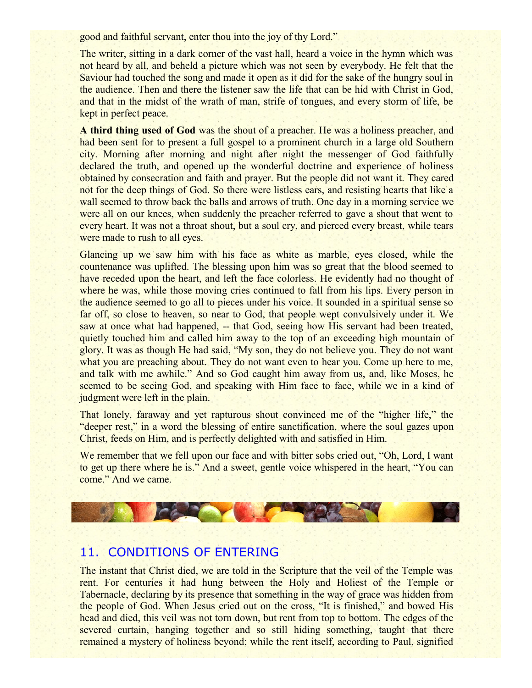good and faithful servant, enter thou into the joy of thy Lord."

The writer, sitting in a dark corner of the vast hall, heard a voice in the hymn which was not heard by all, and beheld a picture which was not seen by everybody. He felt that the Saviour had touched the song and made it open as it did for the sake of the hungry soul in the audience. Then and there the listener saw the life that can be hid with Christ in God, and that in the midst of the wrath of man, strife of tongues, and every storm of life, be kept in perfect peace.

**A third thing used of God** was the shout of a preacher. He was a holiness preacher, and had been sent for to present a full gospel to a prominent church in a large old Southern city. Morning after morning and night after night the messenger of God faithfully declared the truth, and opened up the wonderful doctrine and experience of holiness obtained by consecration and faith and prayer. But the people did not want it. They cared not for the deep things of God. So there were listless ears, and resisting hearts that like a wall seemed to throw back the balls and arrows of truth. One day in a morning service we were all on our knees, when suddenly the preacher referred to gave a shout that went to every heart. It was not a throat shout, but a soul cry, and pierced every breast, while tears were made to rush to all eyes.

Glancing up we saw him with his face as white as marble, eyes closed, while the countenance was uplifted. The blessing upon him was so great that the blood seemed to have receded upon the heart, and left the face colorless. He evidently had no thought of where he was, while those moving cries continued to fall from his lips. Every person in the audience seemed to go all to pieces under his voice. It sounded in a spiritual sense so far off, so close to heaven, so near to God, that people wept convulsively under it. We saw at once what had happened, -- that God, seeing how His servant had been treated, quietly touched him and called him away to the top of an exceeding high mountain of glory. It was as though He had said, "My son, they do not believe you. They do not want what you are preaching about. They do not want even to hear you. Come up here to me, and talk with me awhile." And so God caught him away from us, and, like Moses, he seemed to be seeing God, and speaking with Him face to face, while we in a kind of judgment were left in the plain.

That lonely, faraway and yet rapturous shout convinced me of the "higher life," the "deeper rest," in a word the blessing of entire sanctification, where the soul gazes upon Christ, feeds on Him, and is perfectly delighted with and satisfied in Him.

We remember that we fell upon our face and with bitter sobs cried out, "Oh, Lord, I want to get up there where he is." And a sweet, gentle voice whispered in the heart, "You can come." And we came.



#### 11. CONDITIONS OF ENTERING

The instant that Christ died, we are told in the Scripture that the veil of the Temple was rent. For centuries it had hung between the Holy and Holiest of the Temple or Tabernacle, declaring by its presence that something in the way of grace was hidden from the people of God. When Jesus cried out on the cross, "It is finished," and bowed His head and died, this veil was not torn down, but rent from top to bottom. The edges of the severed curtain, hanging together and so still hiding something, taught that there remained a mystery of holiness beyond; while the rent itself, according to Paul, signified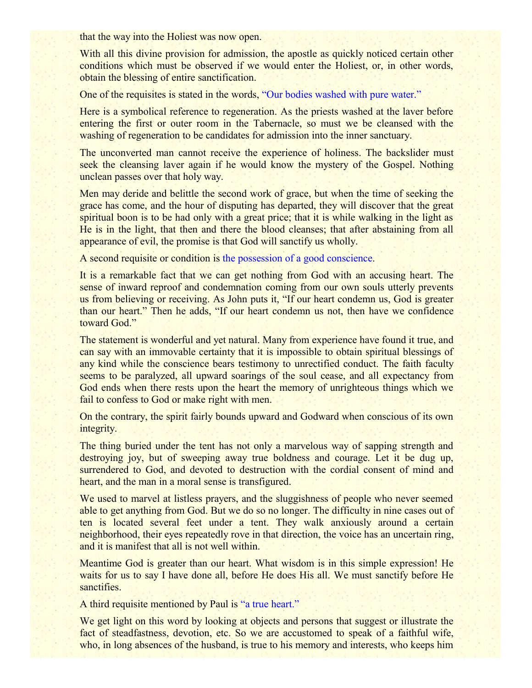that the way into the Holiest was now open.

With all this divine provision for admission, the apostle as quickly noticed certain other conditions which must be observed if we would enter the Holiest, or, in other words, obtain the blessing of entire sanctification.

One of the requisites is stated in the words, "Our bodies washed with pure water."

Here is a symbolical reference to regeneration. As the priests washed at the laver before entering the first or outer room in the Tabernacle, so must we be cleansed with the washing of regeneration to be candidates for admission into the inner sanctuary.

The unconverted man cannot receive the experience of holiness. The backslider must seek the cleansing laver again if he would know the mystery of the Gospel. Nothing unclean passes over that holy way.

Men may deride and belittle the second work of grace, but when the time of seeking the grace has come, and the hour of disputing has departed, they will discover that the great spiritual boon is to be had only with a great price; that it is while walking in the light as He is in the light, that then and there the blood cleanses; that after abstaining from all appearance of evil, the promise is that God will sanctify us wholly.

A second requisite or condition is the possession of a good conscience.

It is a remarkable fact that we can get nothing from God with an accusing heart. The sense of inward reproof and condemnation coming from our own souls utterly prevents us from believing or receiving. As John puts it, "If our heart condemn us, God is greater than our heart." Then he adds, "If our heart condemn us not, then have we confidence toward God."

The statement is wonderful and yet natural. Many from experience have found it true, and can say with an immovable certainty that it is impossible to obtain spiritual blessings of any kind while the conscience bears testimony to unrectified conduct. The faith faculty seems to be paralyzed, all upward soarings of the soul cease, and all expectancy from God ends when there rests upon the heart the memory of unrighteous things which we fail to confess to God or make right with men.

On the contrary, the spirit fairly bounds upward and Godward when conscious of its own integrity.

The thing buried under the tent has not only a marvelous way of sapping strength and destroying joy, but of sweeping away true boldness and courage. Let it be dug up, surrendered to God, and devoted to destruction with the cordial consent of mind and heart, and the man in a moral sense is transfigured.

We used to marvel at listless prayers, and the sluggishness of people who never seemed able to get anything from God. But we do so no longer. The difficulty in nine cases out of ten is located several feet under a tent. They walk anxiously around a certain neighborhood, their eyes repeatedly rove in that direction, the voice has an uncertain ring, and it is manifest that all is not well within.

Meantime God is greater than our heart. What wisdom is in this simple expression! He waits for us to say I have done all, before He does His all. We must sanctify before He sanctifies.

A third requisite mentioned by Paul is "a true heart."

We get light on this word by looking at objects and persons that suggest or illustrate the fact of steadfastness, devotion, etc. So we are accustomed to speak of a faithful wife, who, in long absences of the husband, is true to his memory and interests, who keeps him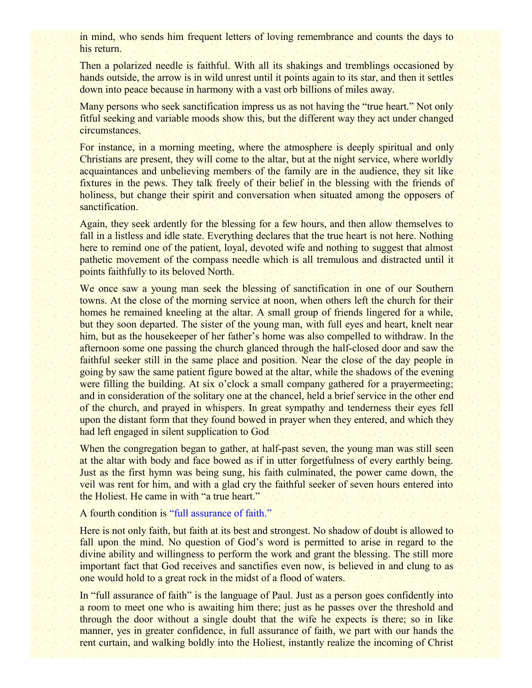in mind, who sends him frequent letters of loving remembrance and counts the days to his return.

Then a polarized needle is faithful. With all its shakings and tremblings occasioned by hands outside, the arrow is in wild unrest until it points again to its star, and then it settles down into peace because in harmony with a vast orb billions of miles away.

Many persons who seek sanctification impress us as not having the "true heart." Not only fitful seeking and variable moods show this, but the different way they act under changed circumstances.

For instance, in a morning meeting, where the atmosphere is deeply spiritual and only Christians are present, they will come to the altar, but at the night service, where worldly acquaintances and unbelieving members of the family are in the audience, they sit like fixtures in the pews. They talk freely of their belief in the blessing with the friends of holiness, but change their spirit and conversation when situated among the opposers of sanctification.

Again, they seek ardently for the blessing for a few hours, and then allow themselves to fall in a listless and idle state. Everything declares that the true heart is not here. Nothing here to remind one of the patient, loyal, devoted wife and nothing to suggest that almost pathetic movement of the compass needle which is all tremulous and distracted until it points faithfully to its beloved North.

We once saw a young man seek the blessing of sanctification in one of our Southern towns. At the close of the morning service at noon, when others left the church for their homes he remained kneeling at the altar. A small group of friends lingered for a while, but they soon departed. The sister of the young man, with full eyes and heart, knelt near him, but as the housekeeper of her father's home was also compelled to withdraw. In the afternoon some one passing the church glanced through the half-closed door and saw the faithful seeker still in the same place and position. Near the close of the day people in going by saw the same patient figure bowed at the altar, while the shadows of the evening were filling the building. At six o'clock a small company gathered for a prayermeeting; and in consideration of the solitary one at the chancel, held a brief service in the other end of the church, and prayed in whispers. In great sympathy and tenderness their eyes fell upon the distant form that they found bowed in prayer when they entered, and which they had left engaged in silent supplication to God

When the congregation began to gather, at half-past seven, the young man was still seen at the altar with body and face bowed as if in utter forgetfulness of every earthly being. Just as the first hymn was being sung, his faith culminated, the power came down, the veil was rent for him, and with a glad cry the faithful seeker of seven hours entered into the Holiest. He came in with "a true heart."

#### A fourth condition is "full assurance of faith."

Here is not only faith, but faith at its best and strongest. No shadow of doubt is allowed to fall upon the mind. No question of God's word is permitted to arise in regard to the divine ability and willingness to perform the work and grant the blessing. The still more important fact that God receives and sanctifies even now, is believed in and clung to as one would hold to a great rock in the midst of a flood of waters.

In "full assurance of faith" is the language of Paul. Just as a person goes confidently into a room to meet one who is awaiting him there; just as he passes over the threshold and through the door without a single doubt that the wife he expects is there; so in like manner, yes in greater confidence, in full assurance of faith, we part with our hands the rent curtain, and walking boldly into the Holiest, instantly realize the incoming of Christ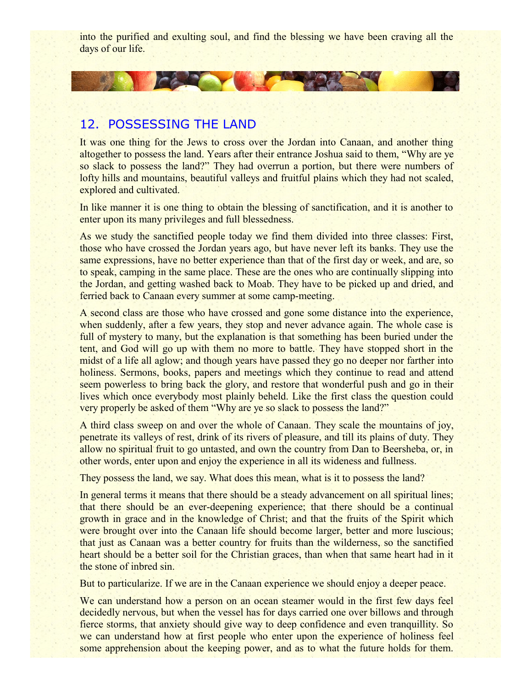into the purified and exulting soul, and find the blessing we have been craving all the days of our life.

# 12. POSSESSING THE LAND

CAR THE

It was one thing for the Jews to cross over the Jordan into Canaan, and another thing altogether to possess the land. Years after their entrance Joshua said to them, "Why are ye so slack to possess the land?" They had overrun a portion, but there were numbers of lofty hills and mountains, beautiful valleys and fruitful plains which they had not scaled, explored and cultivated.

In like manner it is one thing to obtain the blessing of sanctification, and it is another to enter upon its many privileges and full blessedness.

As we study the sanctified people today we find them divided into three classes: First, those who have crossed the Jordan years ago, but have never left its banks. They use the same expressions, have no better experience than that of the first day or week, and are, so to speak, camping in the same place. These are the ones who are continually slipping into the Jordan, and getting washed back to Moab. They have to be picked up and dried, and ferried back to Canaan every summer at some camp-meeting.

A second class are those who have crossed and gone some distance into the experience, when suddenly, after a few years, they stop and never advance again. The whole case is full of mystery to many, but the explanation is that something has been buried under the tent, and God will go up with them no more to battle. They have stopped short in the midst of a life all aglow; and though years have passed they go no deeper nor farther into holiness. Sermons, books, papers and meetings which they continue to read and attend seem powerless to bring back the glory, and restore that wonderful push and go in their lives which once everybody most plainly beheld. Like the first class the question could very properly be asked of them "Why are ye so slack to possess the land?"

A third class sweep on and over the whole of Canaan. They scale the mountains of joy, penetrate its valleys of rest, drink of its rivers of pleasure, and till its plains of duty. They allow no spiritual fruit to go untasted, and own the country from Dan to Beersheba, or, in other words, enter upon and enjoy the experience in all its wideness and fullness.

They possess the land, we say. What does this mean, what is it to possess the land?

In general terms it means that there should be a steady advancement on all spiritual lines; that there should be an ever-deepening experience; that there should be a continual growth in grace and in the knowledge of Christ; and that the fruits of the Spirit which were brought over into the Canaan life should become larger, better and more luscious; that just as Canaan was a better country for fruits than the wilderness, so the sanctified heart should be a better soil for the Christian graces, than when that same heart had in it the stone of inbred sin.

But to particularize. If we are in the Canaan experience we should enjoy a deeper peace.

We can understand how a person on an ocean steamer would in the first few days feel decidedly nervous, but when the vessel has for days carried one over billows and through fierce storms, that anxiety should give way to deep confidence and even tranquillity. So we can understand how at first people who enter upon the experience of holiness feel some apprehension about the keeping power, and as to what the future holds for them.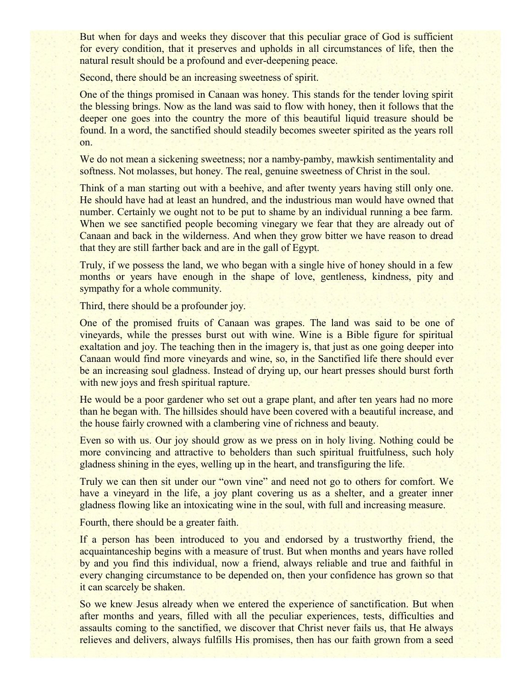But when for days and weeks they discover that this peculiar grace of God is sufficient for every condition, that it preserves and upholds in all circumstances of life, then the natural result should be a profound and ever-deepening peace.

Second, there should be an increasing sweetness of spirit.

One of the things promised in Canaan was honey. This stands for the tender loving spirit the blessing brings. Now as the land was said to flow with honey, then it follows that the deeper one goes into the country the more of this beautiful liquid treasure should be found. In a word, the sanctified should steadily becomes sweeter spirited as the years roll on.

We do not mean a sickening sweetness; nor a namby-pamby, mawkish sentimentality and softness. Not molasses, but honey. The real, genuine sweetness of Christ in the soul.

Think of a man starting out with a beehive, and after twenty years having still only one. He should have had at least an hundred, and the industrious man would have owned that number. Certainly we ought not to be put to shame by an individual running a bee farm. When we see sanctified people becoming vinegary we fear that they are already out of Canaan and back in the wilderness. And when they grow bitter we have reason to dread that they are still farther back and are in the gall of Egypt.

Truly, if we possess the land, we who began with a single hive of honey should in a few months or years have enough in the shape of love, gentleness, kindness, pity and sympathy for a whole community.

Third, there should be a profounder joy.

One of the promised fruits of Canaan was grapes. The land was said to be one of vineyards, while the presses burst out with wine. Wine is a Bible figure for spiritual exaltation and joy. The teaching then in the imagery is, that just as one going deeper into Canaan would find more vineyards and wine, so, in the Sanctified life there should ever be an increasing soul gladness. Instead of drying up, our heart presses should burst forth with new joys and fresh spiritual rapture.

He would be a poor gardener who set out a grape plant, and after ten years had no more than he began with. The hillsides should have been covered with a beautiful increase, and the house fairly crowned with a clambering vine of richness and beauty.

Even so with us. Our joy should grow as we press on in holy living. Nothing could be more convincing and attractive to beholders than such spiritual fruitfulness, such holy gladness shining in the eyes, welling up in the heart, and transfiguring the life.

Truly we can then sit under our "own vine" and need not go to others for comfort. We have a vineyard in the life, a joy plant covering us as a shelter, and a greater inner gladness flowing like an intoxicating wine in the soul, with full and increasing measure.

Fourth, there should be a greater faith.

If a person has been introduced to you and endorsed by a trustworthy friend, the acquaintanceship begins with a measure of trust. But when months and years have rolled by and you find this individual, now a friend, always reliable and true and faithful in every changing circumstance to be depended on, then your confidence has grown so that it can scarcely be shaken.

So we knew Jesus already when we entered the experience of sanctification. But when after months and years, filled with all the peculiar experiences, tests, difficulties and assaults coming to the sanctified, we discover that Christ never fails us, that He always relieves and delivers, always fulfills His promises, then has our faith grown from a seed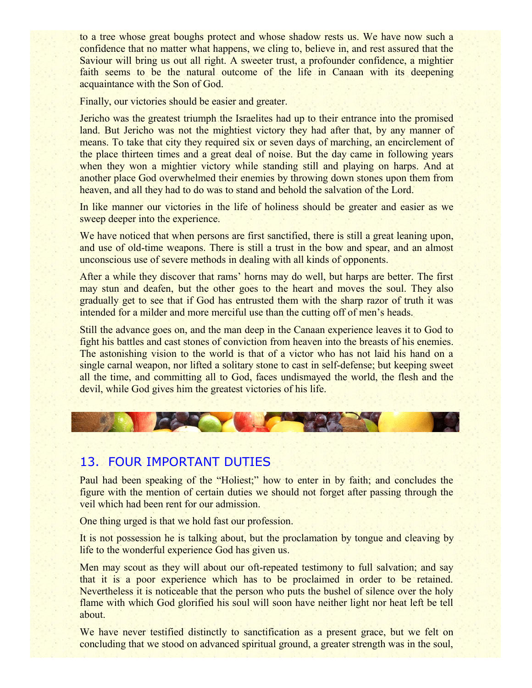to a tree whose great boughs protect and whose shadow rests us. We have now such a confidence that no matter what happens, we cling to, believe in, and rest assured that the Saviour will bring us out all right. A sweeter trust, a profounder confidence, a mightier faith seems to be the natural outcome of the life in Canaan with its deepening acquaintance with the Son of God.

Finally, our victories should be easier and greater.

Jericho was the greatest triumph the Israelites had up to their entrance into the promised land. But Jericho was not the mightiest victory they had after that, by any manner of means. To take that city they required six or seven days of marching, an encirclement of the place thirteen times and a great deal of noise. But the day came in following years when they won a mightier victory while standing still and playing on harps. And at another place God overwhelmed their enemies by throwing down stones upon them from heaven, and all they had to do was to stand and behold the salvation of the Lord.

In like manner our victories in the life of holiness should be greater and easier as we sweep deeper into the experience.

We have noticed that when persons are first sanctified, there is still a great leaning upon, and use of old-time weapons. There is still a trust in the bow and spear, and an almost unconscious use of severe methods in dealing with all kinds of opponents.

After a while they discover that rams' horns may do well, but harps are better. The first may stun and deafen, but the other goes to the heart and moves the soul. They also gradually get to see that if God has entrusted them with the sharp razor of truth it was intended for a milder and more merciful use than the cutting off of men's heads.

Still the advance goes on, and the man deep in the Canaan experience leaves it to God to fight his battles and cast stones of conviction from heaven into the breasts of his enemies. The astonishing vision to the world is that of a victor who has not laid his hand on a single carnal weapon, nor lifted a solitary stone to cast in self-defense; but keeping sweet all the time, and committing all to God, faces undismayed the world, the flesh and the devil, while God gives him the greatest victories of his life.

#### 13. FOUR IMPORTANT DUTIES

Paul had been speaking of the "Holiest;" how to enter in by faith; and concludes the figure with the mention of certain duties we should not forget after passing through the veil which had been rent for our admission.

One thing urged is that we hold fast our profession.

It is not possession he is talking about, but the proclamation by tongue and cleaving by life to the wonderful experience God has given us.

Men may scout as they will about our oft-repeated testimony to full salvation; and say that it is a poor experience which has to be proclaimed in order to be retained. Nevertheless it is noticeable that the person who puts the bushel of silence over the holy flame with which God glorified his soul will soon have neither light nor heat left be tell about.

We have never testified distinctly to sanctification as a present grace, but we felt on concluding that we stood on advanced spiritual ground, a greater strength was in the soul,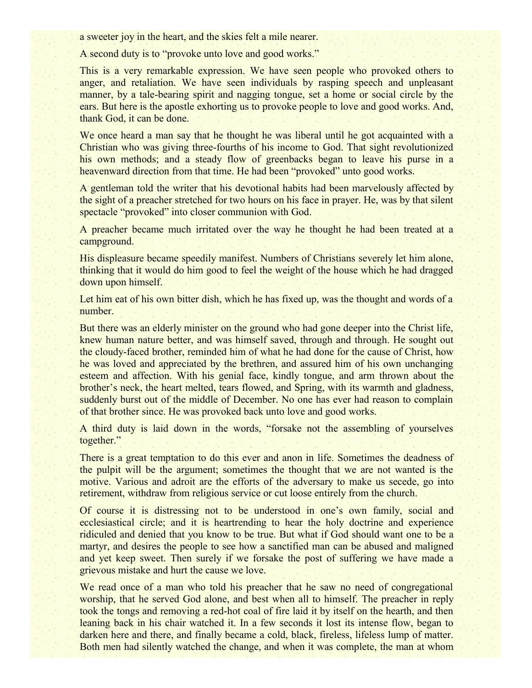a sweeter joy in the heart, and the skies felt a mile nearer.

A second duty is to "provoke unto love and good works."

This is a very remarkable expression. We have seen people who provoked others to anger, and retaliation. We have seen individuals by rasping speech and unpleasant manner, by a tale-bearing spirit and nagging tongue, set a home or social circle by the ears. But here is the apostle exhorting us to provoke people to love and good works. And, thank God, it can be done.

We once heard a man say that he thought he was liberal until he got acquainted with a Christian who was giving three-fourths of his income to God. That sight revolutionized his own methods; and a steady flow of greenbacks began to leave his purse in a heavenward direction from that time. He had been "provoked" unto good works.

A gentleman told the writer that his devotional habits had been marvelously affected by the sight of a preacher stretched for two hours on his face in prayer. He, was by that silent spectacle "provoked" into closer communion with God.

A preacher became much irritated over the way he thought he had been treated at a campground.

His displeasure became speedily manifest. Numbers of Christians severely let him alone, thinking that it would do him good to feel the weight of the house which he had dragged down upon himself.

Let him eat of his own bitter dish, which he has fixed up, was the thought and words of a number.

But there was an elderly minister on the ground who had gone deeper into the Christ life, knew human nature better, and was himself saved, through and through. He sought out the cloudy-faced brother, reminded him of what he had done for the cause of Christ, how he was loved and appreciated by the brethren, and assured him of his own unchanging esteem and affection. With his genial face, kindly tongue, and arm thrown about the brother's neck, the heart melted, tears flowed, and Spring, with its warmth and gladness, suddenly burst out of the middle of December. No one has ever had reason to complain of that brother since. He was provoked back unto love and good works.

A third duty is laid down in the words, "forsake not the assembling of yourselves together."

There is a great temptation to do this ever and anon in life. Sometimes the deadness of the pulpit will be the argument; sometimes the thought that we are not wanted is the motive. Various and adroit are the efforts of the adversary to make us secede, go into retirement, withdraw from religious service or cut loose entirely from the church.

Of course it is distressing not to be understood in one's own family, social and ecclesiastical circle; and it is heartrending to hear the holy doctrine and experience ridiculed and denied that you know to be true. But what if God should want one to be a martyr, and desires the people to see how a sanctified man can be abused and maligned and yet keep sweet. Then surely if we forsake the post of suffering we have made a grievous mistake and hurt the cause we love.

We read once of a man who told his preacher that he saw no need of congregational worship, that he served God alone, and best when all to himself. The preacher in reply took the tongs and removing a red-hot coal of fire laid it by itself on the hearth, and then leaning back in his chair watched it. In a few seconds it lost its intense flow, began to darken here and there, and finally became a cold, black, fireless, lifeless lump of matter. Both men had silently watched the change, and when it was complete, the man at whom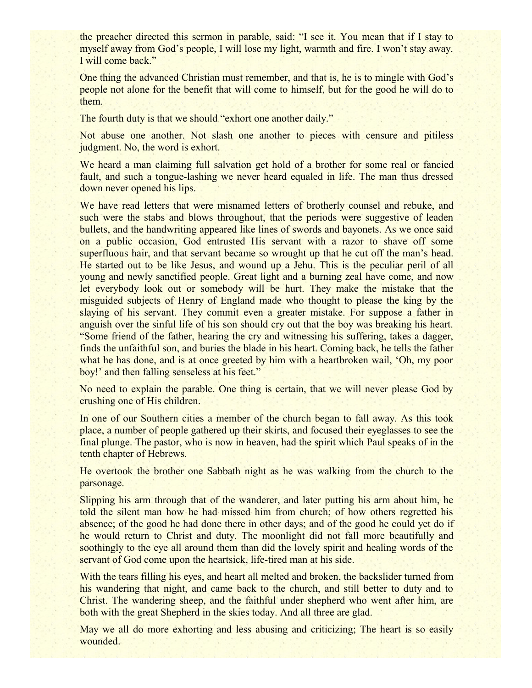the preacher directed this sermon in parable, said: "I see it. You mean that if I stay to myself away from God's people, I will lose my light, warmth and fire. I won't stay away. I will come back."

One thing the advanced Christian must remember, and that is, he is to mingle with God's people not alone for the benefit that will come to himself, but for the good he will do to them.

The fourth duty is that we should "exhort one another daily."

Not abuse one another. Not slash one another to pieces with censure and pitiless judgment. No, the word is exhort.

We heard a man claiming full salvation get hold of a brother for some real or fancied fault, and such a tongue-lashing we never heard equaled in life. The man thus dressed down never opened his lips.

We have read letters that were misnamed letters of brotherly counsel and rebuke, and such were the stabs and blows throughout, that the periods were suggestive of leaden bullets, and the handwriting appeared like lines of swords and bayonets. As we once said on a public occasion, God entrusted His servant with a razor to shave off some superfluous hair, and that servant became so wrought up that he cut off the man's head. He started out to be like Jesus, and wound up a Jehu. This is the peculiar peril of all young and newly sanctified people. Great light and a burning zeal have come, and now let everybody look out or somebody will be hurt. They make the mistake that the misguided subjects of Henry of England made who thought to please the king by the slaying of his servant. They commit even a greater mistake. For suppose a father in anguish over the sinful life of his son should cry out that the boy was breaking his heart. "Some friend of the father, hearing the cry and witnessing his suffering, takes a dagger, finds the unfaithful son, and buries the blade in his heart. Coming back, he tells the father what he has done, and is at once greeted by him with a heartbroken wail, 'Oh, my poor boy!' and then falling senseless at his feet."

No need to explain the parable. One thing is certain, that we will never please God by crushing one of His children.

In one of our Southern cities a member of the church began to fall away. As this took place, a number of people gathered up their skirts, and focused their eyeglasses to see the final plunge. The pastor, who is now in heaven, had the spirit which Paul speaks of in the tenth chapter of Hebrews.

He overtook the brother one Sabbath night as he was walking from the church to the parsonage.

Slipping his arm through that of the wanderer, and later putting his arm about him, he told the silent man how he had missed him from church; of how others regretted his absence; of the good he had done there in other days; and of the good he could yet do if he would return to Christ and duty. The moonlight did not fall more beautifully and soothingly to the eye all around them than did the lovely spirit and healing words of the servant of God come upon the heartsick, life-tired man at his side.

With the tears filling his eyes, and heart all melted and broken, the backslider turned from his wandering that night, and came back to the church, and still better to duty and to Christ. The wandering sheep, and the faithful under shepherd who went after him, are both with the great Shepherd in the skies today. And all three are glad.

May we all do more exhorting and less abusing and criticizing; The heart is so easily wounded.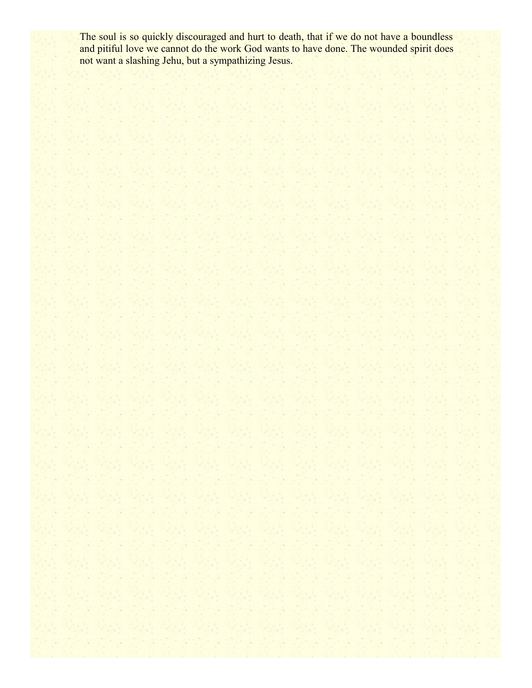The soul is so quickly discouraged and hurt to death, that if we do not have a boundless and pitiful love we cannot do the work God wants to have done. The wounded spirit does not want a slashing Jehu, but a sympathizing Jesus.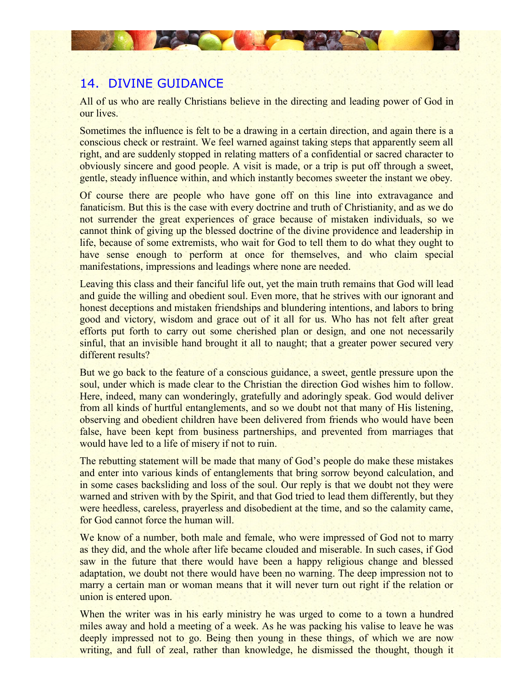# 14. DIVINE GUIDANCE

**DEALER** 

All of us who are really Christians believe in the directing and leading power of God in our lives.

Sometimes the influence is felt to be a drawing in a certain direction, and again there is a conscious check or restraint. We feel warned against taking steps that apparently seem all right, and are suddenly stopped in relating matters of a confidential or sacred character to obviously sincere and good people. A visit is made, or a trip is put off through a sweet, gentle, steady influence within, and which instantly becomes sweeter the instant we obey.

Of course there are people who have gone off on this line into extravagance and fanaticism. But this is the case with every doctrine and truth of Christianity, and as we do not surrender the great experiences of grace because of mistaken individuals, so we cannot think of giving up the blessed doctrine of the divine providence and leadership in life, because of some extremists, who wait for God to tell them to do what they ought to have sense enough to perform at once for themselves, and who claim special manifestations, impressions and leadings where none are needed.

Leaving this class and their fanciful life out, yet the main truth remains that God will lead and guide the willing and obedient soul. Even more, that he strives with our ignorant and honest deceptions and mistaken friendships and blundering intentions, and labors to bring good and victory, wisdom and grace out of it all for us. Who has not felt after great efforts put forth to carry out some cherished plan or design, and one not necessarily sinful, that an invisible hand brought it all to naught; that a greater power secured very different results?

But we go back to the feature of a conscious guidance, a sweet, gentle pressure upon the soul, under which is made clear to the Christian the direction God wishes him to follow. Here, indeed, many can wonderingly, gratefully and adoringly speak. God would deliver from all kinds of hurtful entanglements, and so we doubt not that many of His listening, observing and obedient children have been delivered from friends who would have been false, have been kept from business partnerships, and prevented from marriages that would have led to a life of misery if not to ruin.

The rebutting statement will be made that many of God's people do make these mistakes and enter into various kinds of entanglements that bring sorrow beyond calculation, and in some cases backsliding and loss of the soul. Our reply is that we doubt not they were warned and striven with by the Spirit, and that God tried to lead them differently, but they were heedless, careless, prayerless and disobedient at the time, and so the calamity came, for God cannot force the human will.

We know of a number, both male and female, who were impressed of God not to marry as they did, and the whole after life became clouded and miserable. In such cases, if God saw in the future that there would have been a happy religious change and blessed adaptation, we doubt not there would have been no warning. The deep impression not to marry a certain man or woman means that it will never turn out right if the relation or union is entered upon.

When the writer was in his early ministry he was urged to come to a town a hundred miles away and hold a meeting of a week. As he was packing his valise to leave he was deeply impressed not to go. Being then young in these things, of which we are now writing, and full of zeal, rather than knowledge, he dismissed the thought, though it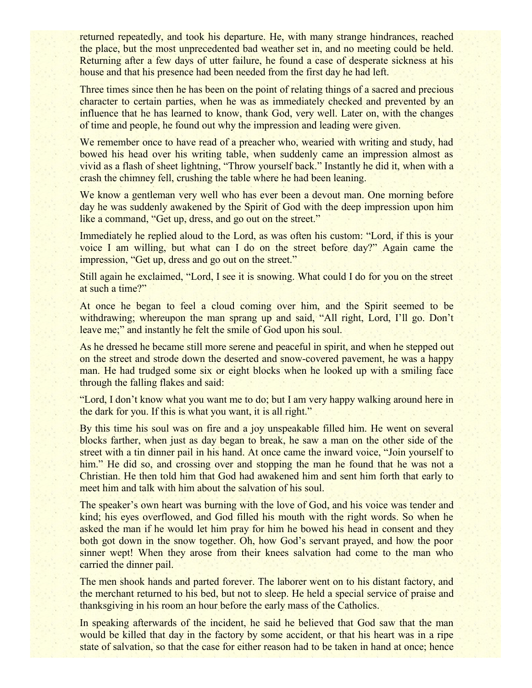returned repeatedly, and took his departure. He, with many strange hindrances, reached the place, but the most unprecedented bad weather set in, and no meeting could be held. Returning after a few days of utter failure, he found a case of desperate sickness at his house and that his presence had been needed from the first day he had left.

Three times since then he has been on the point of relating things of a sacred and precious character to certain parties, when he was as immediately checked and prevented by an influence that he has learned to know, thank God, very well. Later on, with the changes of time and people, he found out why the impression and leading were given.

We remember once to have read of a preacher who, wearied with writing and study, had bowed his head over his writing table, when suddenly came an impression almost as vivid as a flash of sheet lightning, "Throw yourself back." Instantly he did it, when with a crash the chimney fell, crushing the table where he had been leaning.

We know a gentleman very well who has ever been a devout man. One morning before day he was suddenly awakened by the Spirit of God with the deep impression upon him like a command, "Get up, dress, and go out on the street."

Immediately he replied aloud to the Lord, as was often his custom: "Lord, if this is your voice I am willing, but what can I do on the street before day?" Again came the impression, "Get up, dress and go out on the street."

Still again he exclaimed, "Lord, I see it is snowing. What could I do for you on the street at such a time?"

At once he began to feel a cloud coming over him, and the Spirit seemed to be withdrawing; whereupon the man sprang up and said, "All right, Lord, I'll go. Don't leave me;" and instantly he felt the smile of God upon his soul.

As he dressed he became still more serene and peaceful in spirit, and when he stepped out on the street and strode down the deserted and snow-covered pavement, he was a happy man. He had trudged some six or eight blocks when he looked up with a smiling face through the falling flakes and said:

"Lord, I don't know what you want me to do; but I am very happy walking around here in the dark for you. If this is what you want, it is all right."

By this time his soul was on fire and a joy unspeakable filled him. He went on several blocks farther, when just as day began to break, he saw a man on the other side of the street with a tin dinner pail in his hand. At once came the inward voice, "Join yourself to him." He did so, and crossing over and stopping the man he found that he was not a Christian. He then told him that God had awakened him and sent him forth that early to meet him and talk with him about the salvation of his soul.

The speaker's own heart was burning with the love of God, and his voice was tender and kind; his eyes overflowed, and God filled his mouth with the right words. So when he asked the man if he would let him pray for him he bowed his head in consent and they both got down in the snow together. Oh, how God's servant prayed, and how the poor sinner wept! When they arose from their knees salvation had come to the man who carried the dinner pail.

The men shook hands and parted forever. The laborer went on to his distant factory, and the merchant returned to his bed, but not to sleep. He held a special service of praise and thanksgiving in his room an hour before the early mass of the Catholics.

In speaking afterwards of the incident, he said he believed that God saw that the man would be killed that day in the factory by some accident, or that his heart was in a ripe state of salvation, so that the case for either reason had to be taken in hand at once; hence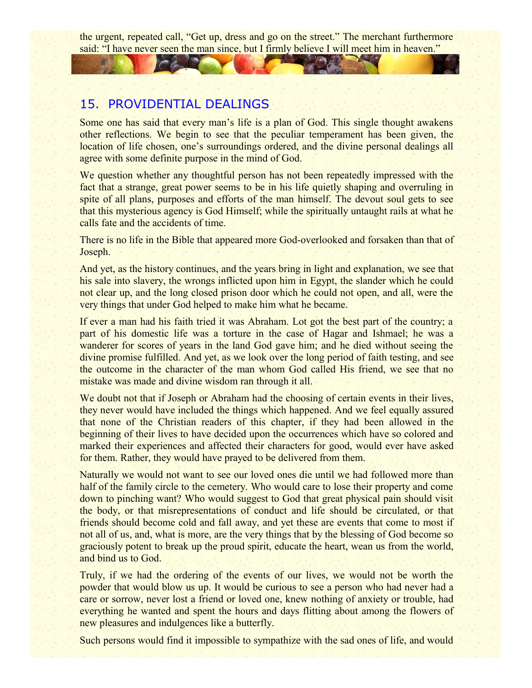the urgent, repeated call, "Get up, dress and go on the street." The merchant furthermore said: "I have never seen the man since, but I firmly believe I will meet him in heaven."

## 15. PROVIDENTIAL DEALINGS

Some one has said that every man's life is a plan of God. This single thought awakens other reflections. We begin to see that the peculiar temperament has been given, the location of life chosen, one's surroundings ordered, and the divine personal dealings all agree with some definite purpose in the mind of God.

We question whether any thoughtful person has not been repeatedly impressed with the fact that a strange, great power seems to be in his life quietly shaping and overruling in spite of all plans, purposes and efforts of the man himself. The devout soul gets to see that this mysterious agency is God Himself; while the spiritually untaught rails at what he calls fate and the accidents of time.

There is no life in the Bible that appeared more God-overlooked and forsaken than that of Joseph.

And yet, as the history continues, and the years bring in light and explanation, we see that his sale into slavery, the wrongs inflicted upon him in Egypt, the slander which he could not clear up, and the long closed prison door which he could not open, and all, were the very things that under God helped to make him what he became.

If ever a man had his faith tried it was Abraham. Lot got the best part of the country; a part of his domestic life was a torture in the case of Hagar and Ishmael; he was a wanderer for scores of years in the land God gave him; and he died without seeing the divine promise fulfilled. And yet, as we look over the long period of faith testing, and see the outcome in the character of the man whom God called His friend, we see that no mistake was made and divine wisdom ran through it all.

We doubt not that if Joseph or Abraham had the choosing of certain events in their lives, they never would have included the things which happened. And we feel equally assured that none of the Christian readers of this chapter, if they had been allowed in the beginning of their lives to have decided upon the occurrences which have so colored and marked their experiences and affected their characters for good, would ever have asked for them. Rather, they would have prayed to be delivered from them.

Naturally we would not want to see our loved ones die until we had followed more than half of the family circle to the cemetery. Who would care to lose their property and come down to pinching want? Who would suggest to God that great physical pain should visit the body, or that misrepresentations of conduct and life should be circulated, or that friends should become cold and fall away, and yet these are events that come to most if not all of us, and, what is more, are the very things that by the blessing of God become so graciously potent to break up the proud spirit, educate the heart, wean us from the world, and bind us to God.

Truly, if we had the ordering of the events of our lives, we would not be worth the powder that would blow us up. It would be curious to see a person who had never had a care or sorrow, never lost a friend or loved one, knew nothing of anxiety or trouble, had everything he wanted and spent the hours and days flitting about among the flowers of new pleasures and indulgences like a butterfly.

Such persons would find it impossible to sympathize with the sad ones of life, and would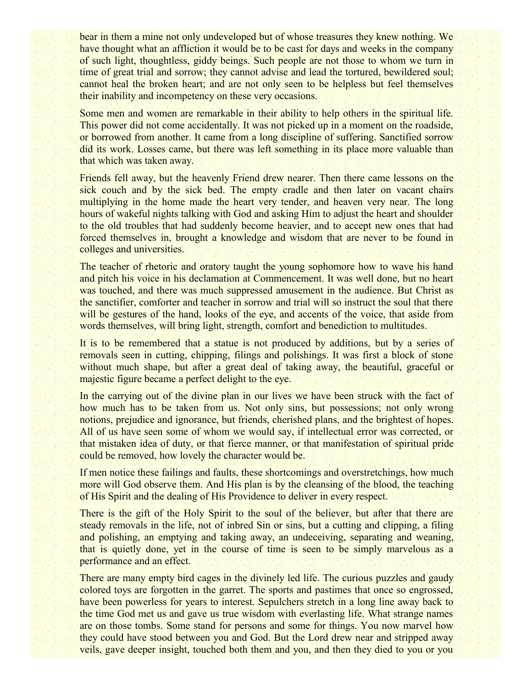bear in them a mine not only undeveloped but of whose treasures they knew nothing. We have thought what an affliction it would be to be cast for days and weeks in the company of such light, thoughtless, giddy beings. Such people are not those to whom we turn in time of great trial and sorrow; they cannot advise and lead the tortured, bewildered soul; cannot heal the broken heart; and are not only seen to be helpless but feel themselves their inability and incompetency on these very occasions.

Some men and women are remarkable in their ability to help others in the spiritual life. This power did not come accidentally. It was not picked up in a moment on the roadside, or borrowed from another. It came from a long discipline of suffering. Sanctified sorrow did its work. Losses came, but there was left something in its place more valuable than that which was taken away.

Friends fell away, but the heavenly Friend drew nearer. Then there came lessons on the sick couch and by the sick bed. The empty cradle and then later on vacant chairs multiplying in the home made the heart very tender, and heaven very near. The long hours of wakeful nights talking with God and asking Him to adjust the heart and shoulder to the old troubles that had suddenly become heavier, and to accept new ones that had forced themselves in, brought a knowledge and wisdom that are never to be found in colleges and universities.

The teacher of rhetoric and oratory taught the young sophomore how to wave his hand and pitch his voice in his declamation at Commencement. It was well done, but no heart was touched, and there was much suppressed amusement in the audience. But Christ as the sanctifier, comforter and teacher in sorrow and trial will so instruct the soul that there will be gestures of the hand, looks of the eye, and accents of the voice, that aside from words themselves, will bring light, strength, comfort and benediction to multitudes.

It is to be remembered that a statue is not produced by additions, but by a series of removals seen in cutting, chipping, filings and polishings. It was first a block of stone without much shape, but after a great deal of taking away, the beautiful, graceful or majestic figure became a perfect delight to the eye.

In the carrying out of the divine plan in our lives we have been struck with the fact of how much has to be taken from us. Not only sins, but possessions; not only wrong notions, prejudice and ignorance, but friends, cherished plans, and the brightest of hopes. All of us have seen some of whom we would say, if intellectual error was corrected, or that mistaken idea of duty, or that fierce manner, or that manifestation of spiritual pride could be removed, how lovely the character would be.

If men notice these failings and faults, these shortcomings and overstretchings, how much more will God observe them. And His plan is by the cleansing of the blood, the teaching of His Spirit and the dealing of His Providence to deliver in every respect.

There is the gift of the Holy Spirit to the soul of the believer, but after that there are steady removals in the life, not of inbred Sin or sins, but a cutting and clipping, a filing and polishing, an emptying and taking away, an undeceiving, separating and weaning, that is quietly done, yet in the course of time is seen to be simply marvelous as a performance and an effect.

There are many empty bird cages in the divinely led life. The curious puzzles and gaudy colored toys are forgotten in the garret. The sports and pastimes that once so engrossed, have been powerless for years to interest. Sepulchers stretch in a long line away back to the time God met us and gave us true wisdom with everlasting life. What strange names are on those tombs. Some stand for persons and some for things. You now marvel how they could have stood between you and God. But the Lord drew near and stripped away veils, gave deeper insight, touched both them and you, and then they died to you or you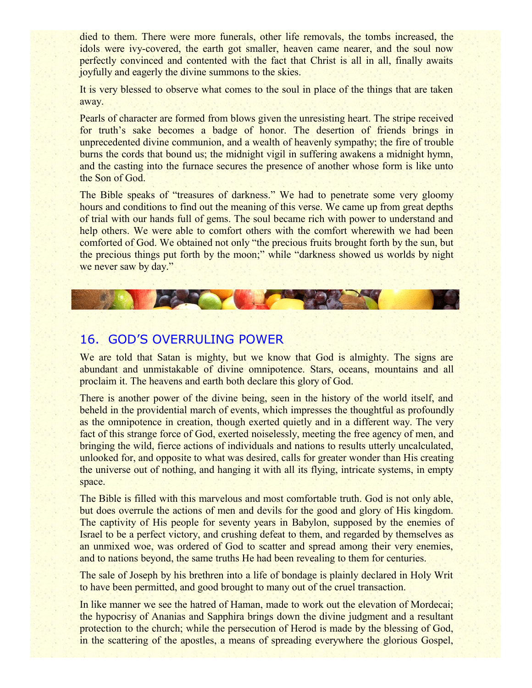died to them. There were more funerals, other life removals, the tombs increased, the idols were ivy-covered, the earth got smaller, heaven came nearer, and the soul now perfectly convinced and contented with the fact that Christ is all in all, finally awaits joyfully and eagerly the divine summons to the skies.

It is very blessed to observe what comes to the soul in place of the things that are taken away.

Pearls of character are formed from blows given the unresisting heart. The stripe received for truth's sake becomes a badge of honor. The desertion of friends brings in unprecedented divine communion, and a wealth of heavenly sympathy; the fire of trouble burns the cords that bound us; the midnight vigil in suffering awakens a midnight hymn, and the casting into the furnace secures the presence of another whose form is like unto the Son of God.

The Bible speaks of "treasures of darkness." We had to penetrate some very gloomy hours and conditions to find out the meaning of this verse. We came up from great depths of trial with our hands full of gems. The soul became rich with power to understand and help others. We were able to comfort others with the comfort wherewith we had been comforted of God. We obtained not only "the precious fruits brought forth by the sun, but the precious things put forth by the moon;" while "darkness showed us worlds by night we never saw by day."

# 16. GOD'S OVERRULING POWER

We are told that Satan is mighty, but we know that God is almighty. The signs are abundant and unmistakable of divine omnipotence. Stars, oceans, mountains and all proclaim it. The heavens and earth both declare this glory of God.

There is another power of the divine being, seen in the history of the world itself, and beheld in the providential march of events, which impresses the thoughtful as profoundly as the omnipotence in creation, though exerted quietly and in a different way. The very fact of this strange force of God, exerted noiselessly, meeting the free agency of men, and bringing the wild, fierce actions of individuals and nations to results utterly uncalculated, unlooked for, and opposite to what was desired, calls for greater wonder than His creating the universe out of nothing, and hanging it with all its flying, intricate systems, in empty space.

The Bible is filled with this marvelous and most comfortable truth. God is not only able, but does overrule the actions of men and devils for the good and glory of His kingdom. The captivity of His people for seventy years in Babylon, supposed by the enemies of Israel to be a perfect victory, and crushing defeat to them, and regarded by themselves as an unmixed woe, was ordered of God to scatter and spread among their very enemies, and to nations beyond, the same truths He had been revealing to them for centuries.

The sale of Joseph by his brethren into a life of bondage is plainly declared in Holy Writ to have been permitted, and good brought to many out of the cruel transaction.

In like manner we see the hatred of Haman, made to work out the elevation of Mordecai; the hypocrisy of Ananias and Sapphira brings down the divine judgment and a resultant protection to the church; while the persecution of Herod is made by the blessing of God, in the scattering of the apostles, a means of spreading everywhere the glorious Gospel,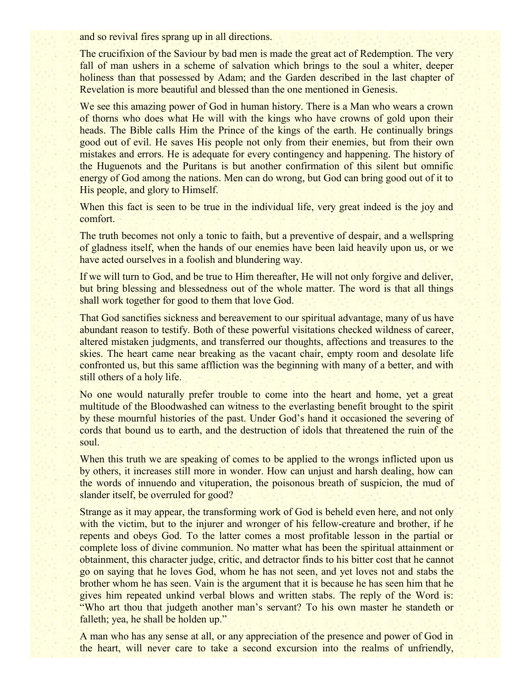and so revival fires sprang up in all directions.

The crucifixion of the Saviour by bad men is made the great act of Redemption. The very fall of man ushers in a scheme of salvation which brings to the soul a whiter, deeper holiness than that possessed by Adam; and the Garden described in the last chapter of Revelation is more beautiful and blessed than the one mentioned in Genesis.

We see this amazing power of God in human history. There is a Man who wears a crown of thorns who does what He will with the kings who have crowns of gold upon their heads. The Bible calls Him the Prince of the kings of the earth. He continually brings good out of evil. He saves His people not only from their enemies, but from their own mistakes and errors. He is adequate for every contingency and happening. The history of the Huguenots and the Puritans is but another confirmation of this silent but omnific energy of God among the nations. Men can do wrong, but God can bring good out of it to His people, and glory to Himself.

When this fact is seen to be true in the individual life, very great indeed is the joy and comfort.

The truth becomes not only a tonic to faith, but a preventive of despair, and a wellspring of gladness itself, when the hands of our enemies have been laid heavily upon us, or we have acted ourselves in a foolish and blundering way.

If we will turn to God, and be true to Him thereafter, He will not only forgive and deliver, but bring blessing and blessedness out of the whole matter. The word is that all things shall work together for good to them that love God.

That God sanctifies sickness and bereavement to our spiritual advantage, many of us have abundant reason to testify. Both of these powerful visitations checked wildness of career, altered mistaken judgments, and transferred our thoughts, affections and treasures to the skies. The heart came near breaking as the vacant chair, empty room and desolate life confronted us, but this same affliction was the beginning with many of a better, and with still others of a holy life.

No one would naturally prefer trouble to come into the heart and home, yet a great multitude of the Bloodwashed can witness to the everlasting benefit brought to the spirit by these mournful histories of the past. Under God's hand it occasioned the severing of cords that bound us to earth, and the destruction of idols that threatened the ruin of the soul.

When this truth we are speaking of comes to be applied to the wrongs inflicted upon us by others, it increases still more in wonder. How can unjust and harsh dealing, how can the words of innuendo and vituperation, the poisonous breath of suspicion, the mud of slander itself, be overruled for good?

Strange as it may appear, the transforming work of God is beheld even here, and not only with the victim, but to the injurer and wronger of his fellow-creature and brother, if he repents and obeys God. To the latter comes a most profitable lesson in the partial or complete loss of divine communion. No matter what has been the spiritual attainment or obtainment, this character judge, critic, and detractor finds to his bitter cost that he cannot go on saying that he loves God, whom he has not seen, and yet loves not and stabs the brother whom he has seen. Vain is the argument that it is because he has seen him that he gives him repeated unkind verbal blows and written stabs. The reply of the Word is: "Who art thou that judgeth another man's servant? To his own master he standeth or falleth; yea, he shall be holden up."

A man who has any sense at all, or any appreciation of the presence and power of God in the heart, will never care to take a second excursion into the realms of unfriendly,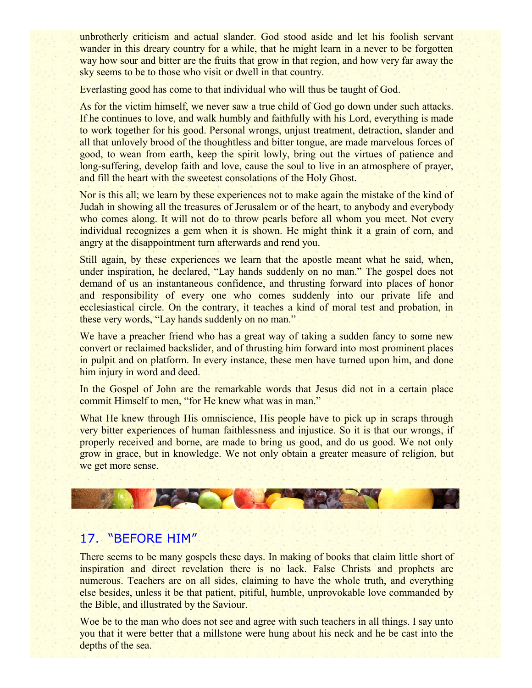unbrotherly criticism and actual slander. God stood aside and let his foolish servant wander in this dreary country for a while, that he might learn in a never to be forgotten way how sour and bitter are the fruits that grow in that region, and how very far away the sky seems to be to those who visit or dwell in that country.

Everlasting good has come to that individual who will thus be taught of God.

As for the victim himself, we never saw a true child of God go down under such attacks. If he continues to love, and walk humbly and faithfully with his Lord, everything is made to work together for his good. Personal wrongs, unjust treatment, detraction, slander and all that unlovely brood of the thoughtless and bitter tongue, are made marvelous forces of good, to wean from earth, keep the spirit lowly, bring out the virtues of patience and long-suffering, develop faith and love, cause the soul to live in an atmosphere of prayer, and fill the heart with the sweetest consolations of the Holy Ghost.

Nor is this all; we learn by these experiences not to make again the mistake of the kind of Judah in showing all the treasures of Jerusalem or of the heart, to anybody and everybody who comes along. It will not do to throw pearls before all whom you meet. Not every individual recognizes a gem when it is shown. He might think it a grain of corn, and angry at the disappointment turn afterwards and rend you.

Still again, by these experiences we learn that the apostle meant what he said, when, under inspiration, he declared, "Lay hands suddenly on no man." The gospel does not demand of us an instantaneous confidence, and thrusting forward into places of honor and responsibility of every one who comes suddenly into our private life and ecclesiastical circle. On the contrary, it teaches a kind of moral test and probation, in these very words, "Lay hands suddenly on no man."

We have a preacher friend who has a great way of taking a sudden fancy to some new convert or reclaimed backslider, and of thrusting him forward into most prominent places in pulpit and on platform. In every instance, these men have turned upon him, and done him injury in word and deed.

In the Gospel of John are the remarkable words that Jesus did not in a certain place commit Himself to men, "for He knew what was in man."

What He knew through His omniscience, His people have to pick up in scraps through very bitter experiences of human faithlessness and injustice. So it is that our wrongs, if properly received and borne, are made to bring us good, and do us good. We not only grow in grace, but in knowledge. We not only obtain a greater measure of religion, but we get more sense.



# 17. "BEFORE HIM"

There seems to be many gospels these days. In making of books that claim little short of inspiration and direct revelation there is no lack. False Christs and prophets are numerous. Teachers are on all sides, claiming to have the whole truth, and everything else besides, unless it be that patient, pitiful, humble, unprovokable love commanded by the Bible, and illustrated by the Saviour.

Woe be to the man who does not see and agree with such teachers in all things. I say unto you that it were better that a millstone were hung about his neck and he be cast into the depths of the sea.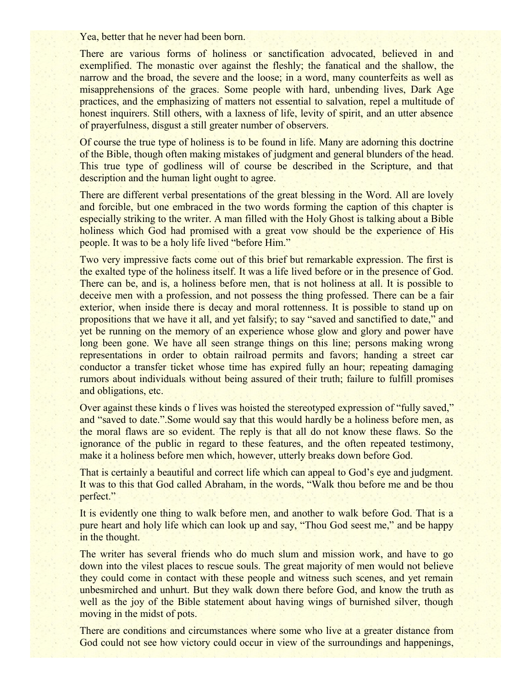Yea, better that he never had been born.

There are various forms of holiness or sanctification advocated, believed in and exemplified. The monastic over against the fleshly; the fanatical and the shallow, the narrow and the broad, the severe and the loose; in a word, many counterfeits as well as misapprehensions of the graces. Some people with hard, unbending lives, Dark Age practices, and the emphasizing of matters not essential to salvation, repel a multitude of honest inquirers. Still others, with a laxness of life, levity of spirit, and an utter absence of prayerfulness, disgust a still greater number of observers.

Of course the true type of holiness is to be found in life. Many are adorning this doctrine of the Bible, though often making mistakes of judgment and general blunders of the head. This true type of godliness will of course be described in the Scripture, and that description and the human light ought to agree.

There are different verbal presentations of the great blessing in the Word. All are lovely and forcible, but one embraced in the two words forming the caption of this chapter is especially striking to the writer. A man filled with the Holy Ghost is talking about a Bible holiness which God had promised with a great vow should be the experience of His people. It was to be a holy life lived "before Him."

Two very impressive facts come out of this brief but remarkable expression. The first is the exalted type of the holiness itself. It was a life lived before or in the presence of God. There can be, and is, a holiness before men, that is not holiness at all. It is possible to deceive men with a profession, and not possess the thing professed. There can be a fair exterior, when inside there is decay and moral rottenness. It is possible to stand up on propositions that we have it all, and yet falsify; to say "saved and sanctified to date," and yet be running on the memory of an experience whose glow and glory and power have long been gone. We have all seen strange things on this line; persons making wrong representations in order to obtain railroad permits and favors; handing a street car conductor a transfer ticket whose time has expired fully an hour; repeating damaging rumors about individuals without being assured of their truth; failure to fulfill promises and obligations, etc.

Over against these kinds o f lives was hoisted the stereotyped expression of "fully saved," and "saved to date.".Some would say that this would hardly be a holiness before men, as the moral flaws are so evident. The reply is that all do not know these flaws. So the ignorance of the public in regard to these features, and the often repeated testimony, make it a holiness before men which, however, utterly breaks down before God.

That is certainly a beautiful and correct life which can appeal to God's eye and judgment. It was to this that God called Abraham, in the words, "Walk thou before me and be thou perfect."

It is evidently one thing to walk before men, and another to walk before God. That is a pure heart and holy life which can look up and say, "Thou God seest me," and be happy in the thought.

The writer has several friends who do much slum and mission work, and have to go down into the vilest places to rescue souls. The great majority of men would not believe they could come in contact with these people and witness such scenes, and yet remain unbesmirched and unhurt. But they walk down there before God, and know the truth as well as the joy of the Bible statement about having wings of burnished silver, though moving in the midst of pots.

There are conditions and circumstances where some who live at a greater distance from God could not see how victory could occur in view of the surroundings and happenings,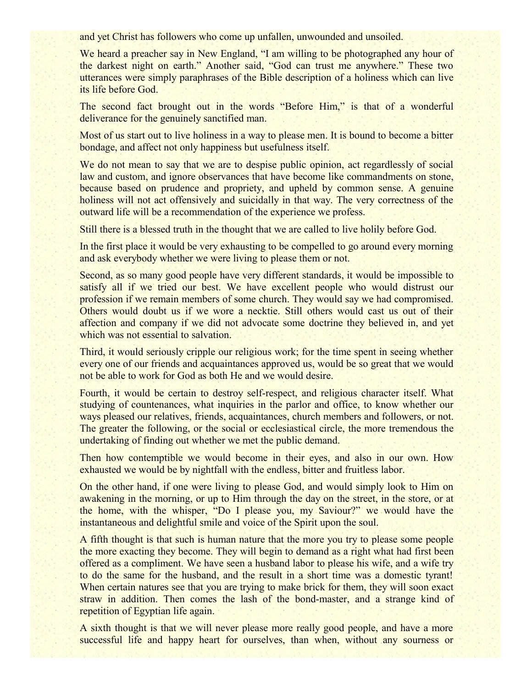and yet Christ has followers who come up unfallen, unwounded and unsoiled.

We heard a preacher say in New England, "I am willing to be photographed any hour of the darkest night on earth." Another said, "God can trust me anywhere." These two utterances were simply paraphrases of the Bible description of a holiness which can live its life before God.

The second fact brought out in the words "Before Him," is that of a wonderful deliverance for the genuinely sanctified man.

Most of us start out to live holiness in a way to please men. It is bound to become a bitter bondage, and affect not only happiness but usefulness itself.

We do not mean to say that we are to despise public opinion, act regardlessly of social law and custom, and ignore observances that have become like commandments on stone, because based on prudence and propriety, and upheld by common sense. A genuine holiness will not act offensively and suicidally in that way. The very correctness of the outward life will be a recommendation of the experience we profess.

Still there is a blessed truth in the thought that we are called to live holily before God.

In the first place it would be very exhausting to be compelled to go around every morning and ask everybody whether we were living to please them or not.

Second, as so many good people have very different standards, it would be impossible to satisfy all if we tried our best. We have excellent people who would distrust our profession if we remain members of some church. They would say we had compromised. Others would doubt us if we wore a necktie. Still others would cast us out of their affection and company if we did not advocate some doctrine they believed in, and yet which was not essential to salvation.

Third, it would seriously cripple our religious work; for the time spent in seeing whether every one of our friends and acquaintances approved us, would be so great that we would not be able to work for God as both He and we would desire.

Fourth, it would be certain to destroy self-respect, and religious character itself. What studying of countenances, what inquiries in the parlor and office, to know whether our ways pleased our relatives, friends, acquaintances, church members and followers, or not. The greater the following, or the social or ecclesiastical circle, the more tremendous the undertaking of finding out whether we met the public demand.

Then how contemptible we would become in their eyes, and also in our own. How exhausted we would be by nightfall with the endless, bitter and fruitless labor.

On the other hand, if one were living to please God, and would simply look to Him on awakening in the morning, or up to Him through the day on the street, in the store, or at the home, with the whisper, "Do I please you, my Saviour?" we would have the instantaneous and delightful smile and voice of the Spirit upon the soul.

A fifth thought is that such is human nature that the more you try to please some people the more exacting they become. They will begin to demand as a right what had first been offered as a compliment. We have seen a husband labor to please his wife, and a wife try to do the same for the husband, and the result in a short time was a domestic tyrant! When certain natures see that you are trying to make brick for them, they will soon exact straw in addition. Then comes the lash of the bond-master, and a strange kind of repetition of Egyptian life again.

A sixth thought is that we will never please more really good people, and have a more successful life and happy heart for ourselves, than when, without any sourness or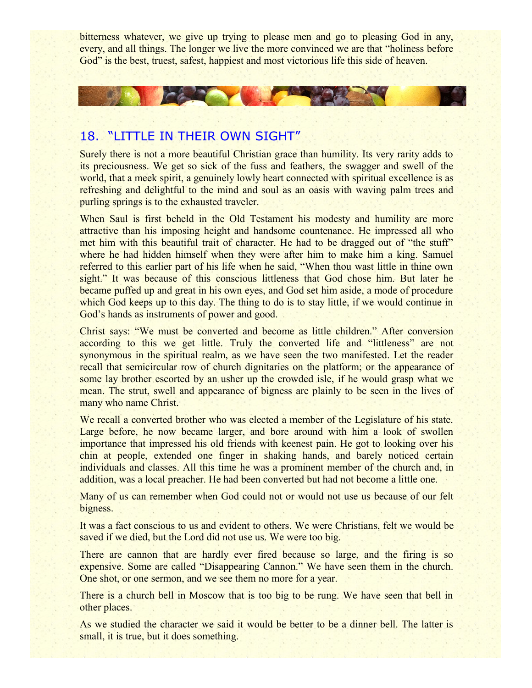bitterness whatever, we give up trying to please men and go to pleasing God in any, every, and all things. The longer we live the more convinced we are that "holiness before God" is the best, truest, safest, happiest and most victorious life this side of heaven.



#### 18. "LITTLE IN THEIR OWN SIGHT"

Surely there is not a more beautiful Christian grace than humility. Its very rarity adds to its preciousness. We get so sick of the fuss and feathers, the swagger and swell of the world, that a meek spirit, a genuinely lowly heart connected with spiritual excellence is as refreshing and delightful to the mind and soul as an oasis with waving palm trees and purling springs is to the exhausted traveler.

When Saul is first beheld in the Old Testament his modesty and humility are more attractive than his imposing height and handsome countenance. He impressed all who met him with this beautiful trait of character. He had to be dragged out of "the stuff" where he had hidden himself when they were after him to make him a king. Samuel referred to this earlier part of his life when he said, "When thou wast little in thine own sight." It was because of this conscious littleness that God chose him. But later he became puffed up and great in his own eyes, and God set him aside, a mode of procedure which God keeps up to this day. The thing to do is to stay little, if we would continue in God's hands as instruments of power and good.

Christ says: "We must be converted and become as little children." After conversion according to this we get little. Truly the converted life and "littleness" are not synonymous in the spiritual realm, as we have seen the two manifested. Let the reader recall that semicircular row of church dignitaries on the platform; or the appearance of some lay brother escorted by an usher up the crowded isle, if he would grasp what we mean. The strut, swell and appearance of bigness are plainly to be seen in the lives of many who name Christ.

We recall a converted brother who was elected a member of the Legislature of his state. Large before, he now became larger, and bore around with him a look of swollen importance that impressed his old friends with keenest pain. He got to looking over his chin at people, extended one finger in shaking hands, and barely noticed certain individuals and classes. All this time he was a prominent member of the church and, in addition, was a local preacher. He had been converted but had not become a little one.

Many of us can remember when God could not or would not use us because of our felt bigness.

It was a fact conscious to us and evident to others. We were Christians, felt we would be saved if we died, but the Lord did not use us. We were too big.

There are cannon that are hardly ever fired because so large, and the firing is so expensive. Some are called "Disappearing Cannon." We have seen them in the church. One shot, or one sermon, and we see them no more for a year.

There is a church bell in Moscow that is too big to be rung. We have seen that bell in other places.

As we studied the character we said it would be better to be a dinner bell. The latter is small, it is true, but it does something.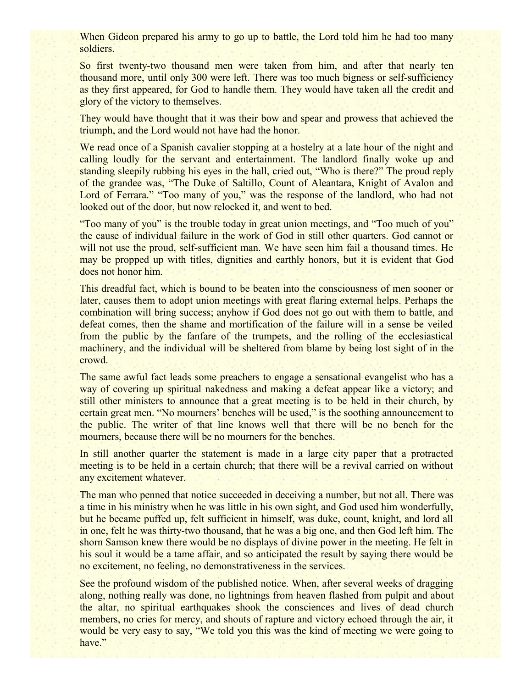When Gideon prepared his army to go up to battle, the Lord told him he had too many soldiers.

So first twenty-two thousand men were taken from him, and after that nearly ten thousand more, until only 300 were left. There was too much bigness or self-sufficiency as they first appeared, for God to handle them. They would have taken all the credit and glory of the victory to themselves.

They would have thought that it was their bow and spear and prowess that achieved the triumph, and the Lord would not have had the honor.

We read once of a Spanish cavalier stopping at a hostelry at a late hour of the night and calling loudly for the servant and entertainment. The landlord finally woke up and standing sleepily rubbing his eyes in the hall, cried out, "Who is there?" The proud reply of the grandee was, "The Duke of Saltillo, Count of Aleantara, Knight of Avalon and Lord of Ferrara." "Too many of you," was the response of the landlord, who had not looked out of the door, but now relocked it, and went to bed.

"Too many of you" is the trouble today in great union meetings, and "Too much of you" the cause of individual failure in the work of God in still other quarters. God cannot or will not use the proud, self-sufficient man. We have seen him fail a thousand times. He may be propped up with titles, dignities and earthly honors, but it is evident that God does not honor him.

This dreadful fact, which is bound to be beaten into the consciousness of men sooner or later, causes them to adopt union meetings with great flaring external helps. Perhaps the combination will bring success; anyhow if God does not go out with them to battle, and defeat comes, then the shame and mortification of the failure will in a sense be veiled from the public by the fanfare of the trumpets, and the rolling of the ecclesiastical machinery, and the individual will be sheltered from blame by being lost sight of in the crowd.

The same awful fact leads some preachers to engage a sensational evangelist who has a way of covering up spiritual nakedness and making a defeat appear like a victory; and still other ministers to announce that a great meeting is to be held in their church, by certain great men. "No mourners' benches will be used," is the soothing announcement to the public. The writer of that line knows well that there will be no bench for the mourners, because there will be no mourners for the benches.

In still another quarter the statement is made in a large city paper that a protracted meeting is to be held in a certain church; that there will be a revival carried on without any excitement whatever.

The man who penned that notice succeeded in deceiving a number, but not all. There was a time in his ministry when he was little in his own sight, and God used him wonderfully, but he became puffed up, felt sufficient in himself, was duke, count, knight, and lord all in one, felt he was thirty-two thousand, that he was a big one, and then God left him. The shorn Samson knew there would be no displays of divine power in the meeting. He felt in his soul it would be a tame affair, and so anticipated the result by saying there would be no excitement, no feeling, no demonstrativeness in the services.

See the profound wisdom of the published notice. When, after several weeks of dragging along, nothing really was done, no lightnings from heaven flashed from pulpit and about the altar, no spiritual earthquakes shook the consciences and lives of dead church members, no cries for mercy, and shouts of rapture and victory echoed through the air, it would be very easy to say, "We told you this was the kind of meeting we were going to have."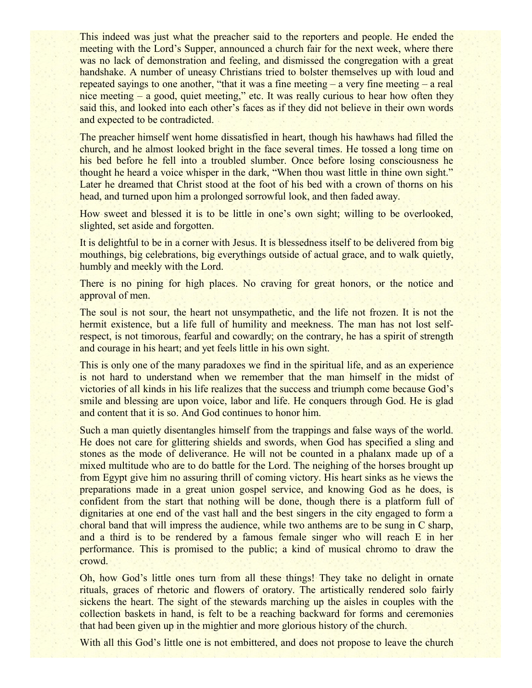This indeed was just what the preacher said to the reporters and people. He ended the meeting with the Lord's Supper, announced a church fair for the next week, where there was no lack of demonstration and feeling, and dismissed the congregation with a great handshake. A number of uneasy Christians tried to bolster themselves up with loud and repeated sayings to one another, "that it was a fine meeting – a very fine meeting – a real nice meeting – a good, quiet meeting," etc. It was really curious to hear how often they said this, and looked into each other's faces as if they did not believe in their own words and expected to be contradicted.

The preacher himself went home dissatisfied in heart, though his hawhaws had filled the church, and he almost looked bright in the face several times. He tossed a long time on his bed before he fell into a troubled slumber. Once before losing consciousness he thought he heard a voice whisper in the dark, "When thou wast little in thine own sight." Later he dreamed that Christ stood at the foot of his bed with a crown of thorns on his head, and turned upon him a prolonged sorrowful look, and then faded away.

How sweet and blessed it is to be little in one's own sight; willing to be overlooked, slighted, set aside and forgotten.

It is delightful to be in a corner with Jesus. It is blessedness itself to be delivered from big mouthings, big celebrations, big everythings outside of actual grace, and to walk quietly, humbly and meekly with the Lord.

There is no pining for high places. No craving for great honors, or the notice and approval of men.

The soul is not sour, the heart not unsympathetic, and the life not frozen. It is not the hermit existence, but a life full of humility and meekness. The man has not lost selfrespect, is not timorous, fearful and cowardly; on the contrary, he has a spirit of strength and courage in his heart; and yet feels little in his own sight.

This is only one of the many paradoxes we find in the spiritual life, and as an experience is not hard to understand when we remember that the man himself in the midst of victories of all kinds in his life realizes that the success and triumph come because God's smile and blessing are upon voice, labor and life. He conquers through God. He is glad and content that it is so. And God continues to honor him.

Such a man quietly disentangles himself from the trappings and false ways of the world. He does not care for glittering shields and swords, when God has specified a sling and stones as the mode of deliverance. He will not be counted in a phalanx made up of a mixed multitude who are to do battle for the Lord. The neighing of the horses brought up from Egypt give him no assuring thrill of coming victory. His heart sinks as he views the preparations made in a great union gospel service, and knowing God as he does, is confident from the start that nothing will be done, though there is a platform full of dignitaries at one end of the vast hall and the best singers in the city engaged to form a choral band that will impress the audience, while two anthems are to be sung in C sharp, and a third is to be rendered by a famous female singer who will reach E in her performance. This is promised to the public; a kind of musical chromo to draw the crowd.

Oh, how God's little ones turn from all these things! They take no delight in ornate rituals, graces of rhetoric and flowers of oratory. The artistically rendered solo fairly sickens the heart. The sight of the stewards marching up the aisles in couples with the collection baskets in hand, is felt to be a reaching backward for forms and ceremonies that had been given up in the mightier and more glorious history of the church.

With all this God's little one is not embittered, and does not propose to leave the church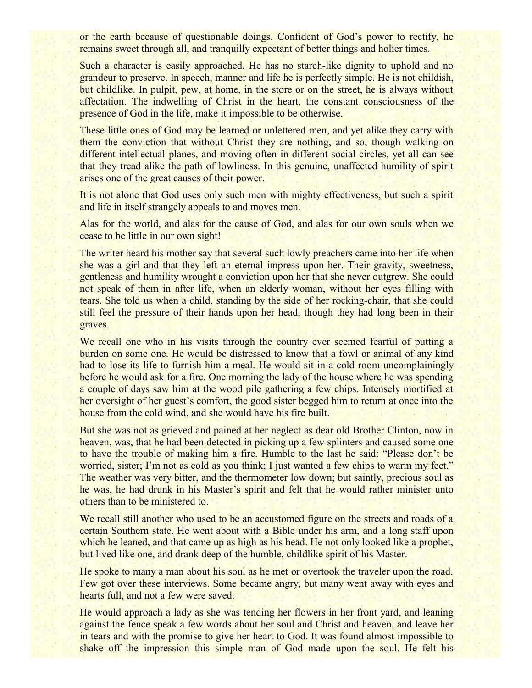or the earth because of questionable doings. Confident of God's power to rectify, he remains sweet through all, and tranquilly expectant of better things and holier times.

Such a character is easily approached. He has no starch-like dignity to uphold and no grandeur to preserve. In speech, manner and life he is perfectly simple. He is not childish, but childlike. In pulpit, pew, at home, in the store or on the street, he is always without affectation. The indwelling of Christ in the heart, the constant consciousness of the presence of God in the life, make it impossible to be otherwise.

These little ones of God may be learned or unlettered men, and yet alike they carry with them the conviction that without Christ they are nothing, and so, though walking on different intellectual planes, and moving often in different social circles, yet all can see that they tread alike the path of lowliness. In this genuine, unaffected humility of spirit arises one of the great causes of their power.

It is not alone that God uses only such men with mighty effectiveness, but such a spirit and life in itself strangely appeals to and moves men.

Alas for the world, and alas for the cause of God, and alas for our own souls when we cease to be little in our own sight!

The writer heard his mother say that several such lowly preachers came into her life when she was a girl and that they left an eternal impress upon her. Their gravity, sweetness, gentleness and humility wrought a conviction upon her that she never outgrew. She could not speak of them in after life, when an elderly woman, without her eyes filling with tears. She told us when a child, standing by the side of her rocking-chair, that she could still feel the pressure of their hands upon her head, though they had long been in their graves.

We recall one who in his visits through the country ever seemed fearful of putting a burden on some one. He would be distressed to know that a fowl or animal of any kind had to lose its life to furnish him a meal. He would sit in a cold room uncomplainingly before he would ask for a fire. One morning the lady of the house where he was spending a couple of days saw him at the wood pile gathering a few chips. Intensely mortified at her oversight of her guest's comfort, the good sister begged him to return at once into the house from the cold wind, and she would have his fire built.

But she was not as grieved and pained at her neglect as dear old Brother Clinton, now in heaven, was, that he had been detected in picking up a few splinters and caused some one to have the trouble of making him a fire. Humble to the last he said: "Please don't be worried, sister; I'm not as cold as you think; I just wanted a few chips to warm my feet." The weather was very bitter, and the thermometer low down; but saintly, precious soul as he was, he had drunk in his Master's spirit and felt that he would rather minister unto others than to be ministered to.

We recall still another who used to be an accustomed figure on the streets and roads of a certain Southern state. He went about with a Bible under his arm, and a long staff upon which he leaned, and that came up as high as his head. He not only looked like a prophet, but lived like one, and drank deep of the humble, childlike spirit of his Master.

He spoke to many a man about his soul as he met or overtook the traveler upon the road. Few got over these interviews. Some became angry, but many went away with eyes and hearts full, and not a few were saved.

He would approach a lady as she was tending her flowers in her front yard, and leaning against the fence speak a few words about her soul and Christ and heaven, and leave her in tears and with the promise to give her heart to God. It was found almost impossible to shake off the impression this simple man of God made upon the soul. He felt his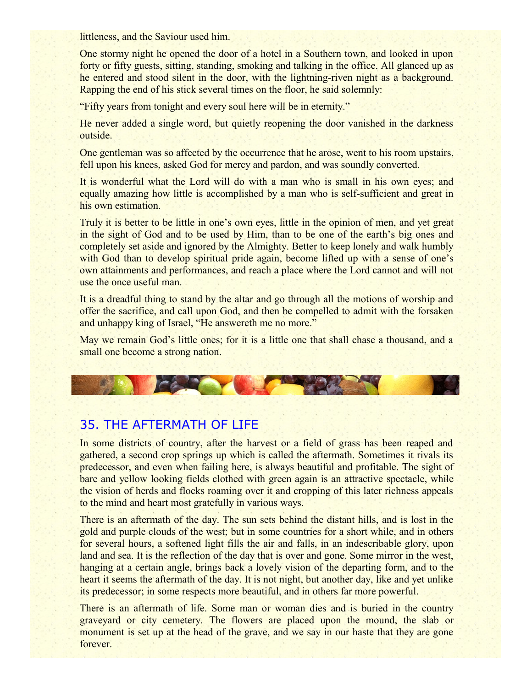littleness, and the Saviour used him.

One stormy night he opened the door of a hotel in a Southern town, and looked in upon forty or fifty guests, sitting, standing, smoking and talking in the office. All glanced up as he entered and stood silent in the door, with the lightning-riven night as a background. Rapping the end of his stick several times on the floor, he said solemnly:

"Fifty years from tonight and every soul here will be in eternity."

He never added a single word, but quietly reopening the door vanished in the darkness outside.

One gentleman was so affected by the occurrence that he arose, went to his room upstairs, fell upon his knees, asked God for mercy and pardon, and was soundly converted.

It is wonderful what the Lord will do with a man who is small in his own eyes; and equally amazing how little is accomplished by a man who is self-sufficient and great in his own estimation.

Truly it is better to be little in one's own eyes, little in the opinion of men, and yet great in the sight of God and to be used by Him, than to be one of the earth's big ones and completely set aside and ignored by the Almighty. Better to keep lonely and walk humbly with God than to develop spiritual pride again, become lifted up with a sense of one's own attainments and performances, and reach a place where the Lord cannot and will not use the once useful man.

It is a dreadful thing to stand by the altar and go through all the motions of worship and offer the sacrifice, and call upon God, and then be compelled to admit with the forsaken and unhappy king of Israel, "He answereth me no more."

May we remain God's little ones; for it is a little one that shall chase a thousand, and a small one become a strong nation.

## 35. THE AFTERMATH OF LIFE

In some districts of country, after the harvest or a field of grass has been reaped and gathered, a second crop springs up which is called the aftermath. Sometimes it rivals its predecessor, and even when failing here, is always beautiful and profitable. The sight of bare and yellow looking fields clothed with green again is an attractive spectacle, while the vision of herds and flocks roaming over it and cropping of this later richness appeals to the mind and heart most gratefully in various ways.

There is an aftermath of the day. The sun sets behind the distant hills, and is lost in the gold and purple clouds of the west; but in some countries for a short while, and in others for several hours, a softened light fills the air and falls, in an indescribable glory, upon land and sea. It is the reflection of the day that is over and gone. Some mirror in the west, hanging at a certain angle, brings back a lovely vision of the departing form, and to the heart it seems the aftermath of the day. It is not night, but another day, like and yet unlike its predecessor; in some respects more beautiful, and in others far more powerful.

There is an aftermath of life. Some man or woman dies and is buried in the country graveyard or city cemetery. The flowers are placed upon the mound, the slab or monument is set up at the head of the grave, and we say in our haste that they are gone forever.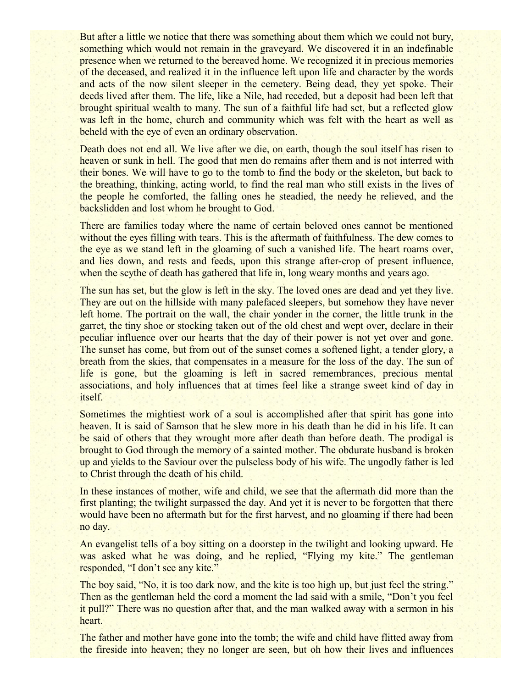But after a little we notice that there was something about them which we could not bury, something which would not remain in the graveyard. We discovered it in an indefinable presence when we returned to the bereaved home. We recognized it in precious memories of the deceased, and realized it in the influence left upon life and character by the words and acts of the now silent sleeper in the cemetery. Being dead, they yet spoke. Their deeds lived after them. The life, like a Nile, had receded, but a deposit had been left that brought spiritual wealth to many. The sun of a faithful life had set, but a reflected glow was left in the home, church and community which was felt with the heart as well as beheld with the eye of even an ordinary observation.

Death does not end all. We live after we die, on earth, though the soul itself has risen to heaven or sunk in hell. The good that men do remains after them and is not interred with their bones. We will have to go to the tomb to find the body or the skeleton, but back to the breathing, thinking, acting world, to find the real man who still exists in the lives of the people he comforted, the falling ones he steadied, the needy he relieved, and the backslidden and lost whom he brought to God.

There are families today where the name of certain beloved ones cannot be mentioned without the eyes filling with tears. This is the aftermath of faithfulness. The dew comes to the eye as we stand left in the gloaming of such a vanished life. The heart roams over, and lies down, and rests and feeds, upon this strange after-crop of present influence, when the scythe of death has gathered that life in, long weary months and years ago.

The sun has set, but the glow is left in the sky. The loved ones are dead and yet they live. They are out on the hillside with many palefaced sleepers, but somehow they have never left home. The portrait on the wall, the chair yonder in the corner, the little trunk in the garret, the tiny shoe or stocking taken out of the old chest and wept over, declare in their peculiar influence over our hearts that the day of their power is not yet over and gone. The sunset has come, but from out of the sunset comes a softened light, a tender glory, a breath from the skies, that compensates in a measure for the loss of the day. The sun of life is gone, but the gloaming is left in sacred remembrances, precious mental associations, and holy influences that at times feel like a strange sweet kind of day in itself.

Sometimes the mightiest work of a soul is accomplished after that spirit has gone into heaven. It is said of Samson that he slew more in his death than he did in his life. It can be said of others that they wrought more after death than before death. The prodigal is brought to God through the memory of a sainted mother. The obdurate husband is broken up and yields to the Saviour over the pulseless body of his wife. The ungodly father is led to Christ through the death of his child.

In these instances of mother, wife and child, we see that the aftermath did more than the first planting; the twilight surpassed the day. And yet it is never to be forgotten that there would have been no aftermath but for the first harvest, and no gloaming if there had been no day.

An evangelist tells of a boy sitting on a doorstep in the twilight and looking upward. He was asked what he was doing, and he replied, "Flying my kite." The gentleman responded, "I don't see any kite."

The boy said, "No, it is too dark now, and the kite is too high up, but just feel the string." Then as the gentleman held the cord a moment the lad said with a smile, "Don't you feel it pull?" There was no question after that, and the man walked away with a sermon in his heart.

The father and mother have gone into the tomb; the wife and child have flitted away from the fireside into heaven; they no longer are seen, but oh how their lives and influences